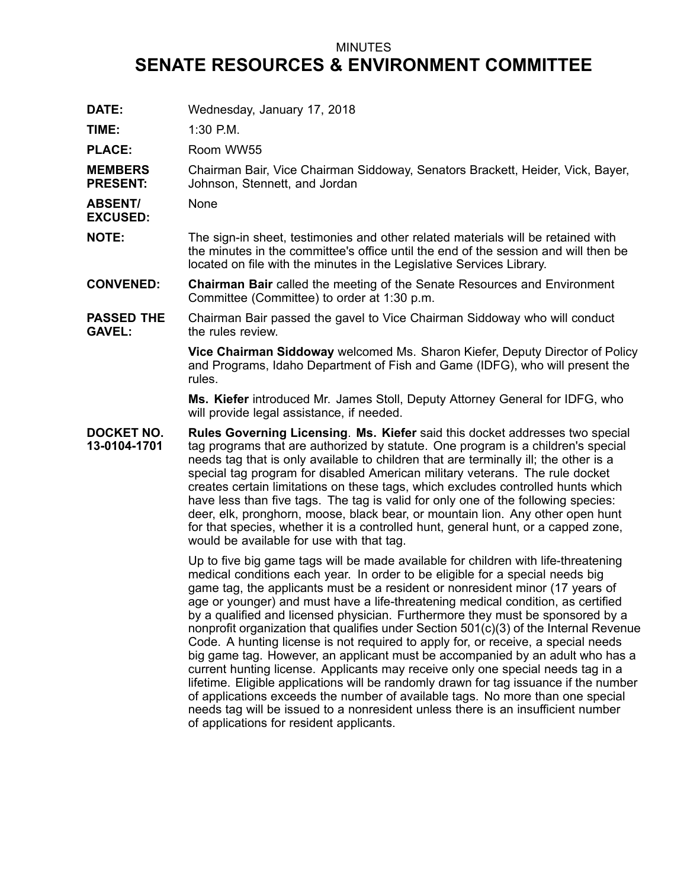## MINUTES

## **SENATE RESOURCES & ENVIRONMENT COMMITTEE**

| DATE:                              | Wednesday, January 17, 2018                                                                                                                                                                                                                                                                                                                                                                                                                                                                                                                                                                                                                                                                                                                                                                                                                                                                                                                                                                                                                                                             |
|------------------------------------|-----------------------------------------------------------------------------------------------------------------------------------------------------------------------------------------------------------------------------------------------------------------------------------------------------------------------------------------------------------------------------------------------------------------------------------------------------------------------------------------------------------------------------------------------------------------------------------------------------------------------------------------------------------------------------------------------------------------------------------------------------------------------------------------------------------------------------------------------------------------------------------------------------------------------------------------------------------------------------------------------------------------------------------------------------------------------------------------|
| TIME:                              | 1:30 P.M.                                                                                                                                                                                                                                                                                                                                                                                                                                                                                                                                                                                                                                                                                                                                                                                                                                                                                                                                                                                                                                                                               |
| <b>PLACE:</b>                      | Room WW55                                                                                                                                                                                                                                                                                                                                                                                                                                                                                                                                                                                                                                                                                                                                                                                                                                                                                                                                                                                                                                                                               |
| <b>MEMBERS</b><br><b>PRESENT:</b>  | Chairman Bair, Vice Chairman Siddoway, Senators Brackett, Heider, Vick, Bayer,<br>Johnson, Stennett, and Jordan                                                                                                                                                                                                                                                                                                                                                                                                                                                                                                                                                                                                                                                                                                                                                                                                                                                                                                                                                                         |
| <b>ABSENT/</b><br><b>EXCUSED:</b>  | None                                                                                                                                                                                                                                                                                                                                                                                                                                                                                                                                                                                                                                                                                                                                                                                                                                                                                                                                                                                                                                                                                    |
| <b>NOTE:</b>                       | The sign-in sheet, testimonies and other related materials will be retained with<br>the minutes in the committee's office until the end of the session and will then be<br>located on file with the minutes in the Legislative Services Library.                                                                                                                                                                                                                                                                                                                                                                                                                                                                                                                                                                                                                                                                                                                                                                                                                                        |
| <b>CONVENED:</b>                   | <b>Chairman Bair</b> called the meeting of the Senate Resources and Environment<br>Committee (Committee) to order at 1:30 p.m.                                                                                                                                                                                                                                                                                                                                                                                                                                                                                                                                                                                                                                                                                                                                                                                                                                                                                                                                                          |
| <b>PASSED THE</b><br><b>GAVEL:</b> | Chairman Bair passed the gavel to Vice Chairman Siddoway who will conduct<br>the rules review.                                                                                                                                                                                                                                                                                                                                                                                                                                                                                                                                                                                                                                                                                                                                                                                                                                                                                                                                                                                          |
|                                    | Vice Chairman Siddoway welcomed Ms. Sharon Kiefer, Deputy Director of Policy<br>and Programs, Idaho Department of Fish and Game (IDFG), who will present the<br>rules.                                                                                                                                                                                                                                                                                                                                                                                                                                                                                                                                                                                                                                                                                                                                                                                                                                                                                                                  |
|                                    | Ms. Kiefer introduced Mr. James Stoll, Deputy Attorney General for IDFG, who<br>will provide legal assistance, if needed.                                                                                                                                                                                                                                                                                                                                                                                                                                                                                                                                                                                                                                                                                                                                                                                                                                                                                                                                                               |
| DOCKET NO.<br>13-0104-1701         | Rules Governing Licensing. Ms. Kiefer said this docket addresses two special<br>tag programs that are authorized by statute. One program is a children's special<br>needs tag that is only available to children that are terminally ill; the other is a<br>special tag program for disabled American military veterans. The rule docket<br>creates certain limitations on these tags, which excludes controlled hunts which<br>have less than five tags. The tag is valid for only one of the following species:<br>deer, elk, pronghorn, moose, black bear, or mountain lion. Any other open hunt<br>for that species, whether it is a controlled hunt, general hunt, or a capped zone,<br>would be available for use with that tag.                                                                                                                                                                                                                                                                                                                                                  |
|                                    | Up to five big game tags will be made available for children with life-threatening<br>medical conditions each year. In order to be eligible for a special needs big<br>game tag, the applicants must be a resident or nonresident minor (17 years of<br>age or younger) and must have a life-threatening medical condition, as certified<br>by a qualified and licensed physician. Furthermore they must be sponsored by a<br>nonprofit organization that qualifies under Section 501(c)(3) of the Internal Revenue<br>Code. A hunting license is not required to apply for, or receive, a special needs<br>big game tag. However, an applicant must be accompanied by an adult who has a<br>current hunting license. Applicants may receive only one special needs tag in a<br>lifetime. Eligible applications will be randomly drawn for tag issuance if the number<br>of applications exceeds the number of available tags. No more than one special<br>needs tag will be issued to a nonresident unless there is an insufficient number<br>of applications for resident applicants. |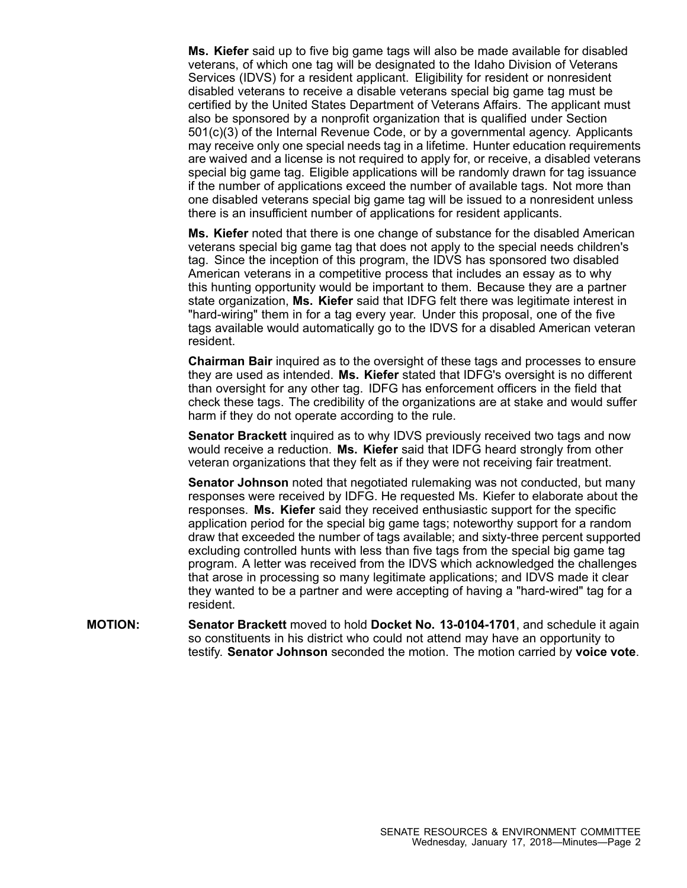**Ms. Kiefer** said up to five big game tags will also be made available for disabled veterans, of which one tag will be designated to the Idaho Division of Veterans Services (IDVS) for <sup>a</sup> resident applicant. Eligibility for resident or nonresident disabled veterans to receive <sup>a</sup> disable veterans special big game tag must be certified by the United States Department of Veterans Affairs. The applicant must also be sponsored by <sup>a</sup> nonprofit organization that is qualified under Section 501(c)(3) of the Internal Revenue Code, or by <sup>a</sup> governmental agency. Applicants may receive only one special needs tag in <sup>a</sup> lifetime. Hunter education requirements are waived and <sup>a</sup> license is not required to apply for, or receive, <sup>a</sup> disabled veterans special big game tag. Eligible applications will be randomly drawn for tag issuance if the number of applications exceed the number of available tags. Not more than one disabled veterans special big game tag will be issued to <sup>a</sup> nonresident unless there is an insufficient number of applications for resident applicants.

**Ms. Kiefer** noted that there is one change of substance for the disabled American veterans special big game tag that does not apply to the special needs children's tag. Since the inception of this program, the IDVS has sponsored two disabled American veterans in <sup>a</sup> competitive process that includes an essay as to why this hunting opportunity would be important to them. Because they are <sup>a</sup> partner state organization, **Ms. Kiefer** said that IDFG felt there was legitimate interest in "hard-wiring" them in for <sup>a</sup> tag every year. Under this proposal, one of the five tags available would automatically go to the IDVS for <sup>a</sup> disabled American veteran resident.

**Chairman Bair** inquired as to the oversight of these tags and processes to ensure they are used as intended. **Ms. Kiefer** stated that IDFG's oversight is no different than oversight for any other tag. IDFG has enforcement officers in the field that check these tags. The credibility of the organizations are at stake and would suffer harm if they do not operate according to the rule.

**Senator Brackett** inquired as to why IDVS previously received two tags and now would receive <sup>a</sup> reduction. **Ms. Kiefer** said that IDFG heard strongly from other veteran organizations that they felt as if they were not receiving fair treatment.

**Senator Johnson** noted that negotiated rulemaking was not conducted, but many responses were received by IDFG. He requested Ms. Kiefer to elaborate about the responses. **Ms. Kiefer** said they received enthusiastic support for the specific application period for the special big game tags; noteworthy support for <sup>a</sup> random draw that exceeded the number of tags available; and sixty-three percent supported excluding controlled hunts with less than five tags from the special big game tag program. A letter was received from the IDVS which acknowledged the challenges that arose in processing so many legitimate applications; and IDVS made it clear they wanted to be <sup>a</sup> partner and were accepting of having <sup>a</sup> "hard-wired" tag for <sup>a</sup> resident.

**MOTION: Senator Brackett** moved to hold **Docket No. 13-0104-1701**, and schedule it again so constituents in his district who could not attend may have an opportunity to testify. **Senator Johnson** seconded the motion. The motion carried by **voice vote**.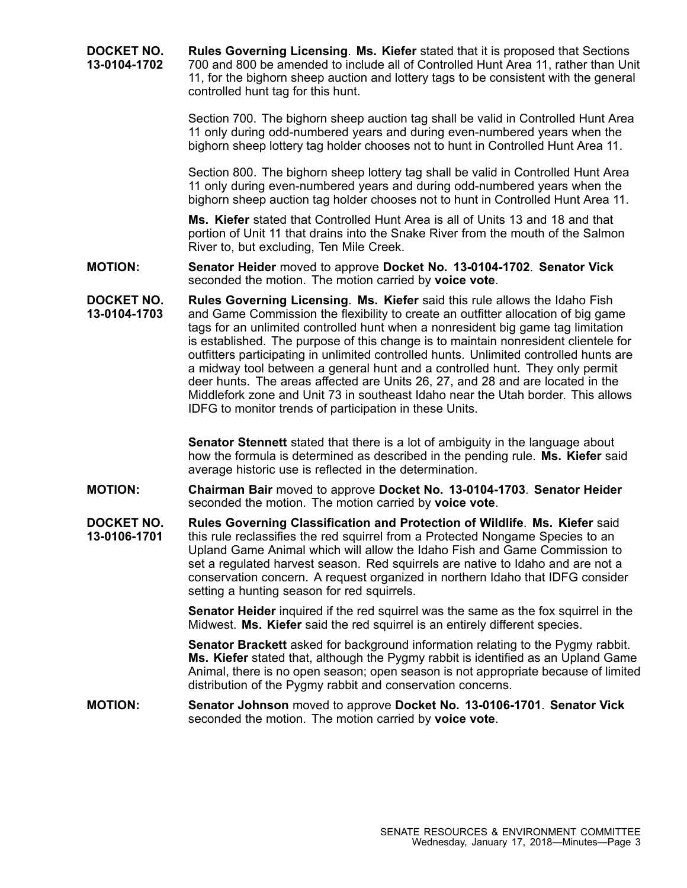**DOCKET NO. 13-0104-1702 Rules Governing Licensing**. **Ms. Kiefer** stated that it is proposed that Sections 700 and 800 be amended to include all of Controlled Hunt Area 11, rather than Unit 11, for the bighorn sheep auction and lottery tags to be consistent with the general controlled hunt tag for this hunt.

> Section 700. The bighorn sheep auction tag shall be valid in Controlled Hunt Area 11 only during odd-numbered years and during even-numbered years when the bighorn sheep lottery tag holder chooses not to hunt in Controlled Hunt Area 11.

Section 800. The bighorn sheep lottery tag shall be valid in Controlled Hunt Area 11 only during even-numbered years and during odd-numbered years when the bighorn sheep auction tag holder chooses not to hunt in Controlled Hunt Area 11.

**Ms. Kiefer** stated that Controlled Hunt Area is all of Units 13 and 18 and that portion of Unit 11 that drains into the Snake River from the mouth of the Salmon River to, but excluding, Ten Mile Creek.

**MOTION: Senator Heider** moved to approve **Docket No. 13-0104-1702**. **Senator Vick** seconded the motion. The motion carried by **voice vote**.

**DOCKET NO. 13-0104-1703 Rules Governing Licensing**. **Ms. Kiefer** said this rule allows the Idaho Fish and Game Commission the flexibility to create an outfitter allocation of big game tags for an unlimited controlled hunt when <sup>a</sup> nonresident big game tag limitation is established. The purpose of this change is to maintain nonresident clientele for outfitters participating in unlimited controlled hunts. Unlimited controlled hunts are <sup>a</sup> midway tool between <sup>a</sup> general hunt and <sup>a</sup> controlled hunt. They only permit deer hunts. The areas affected are Units 26, 27, and 28 and are located in the Middlefork zone and Unit 73 in southeast Idaho near the Utah border. This allows IDFG to monitor trends of participation in these Units.

> **Senator Stennett** stated that there is <sup>a</sup> lot of ambiguity in the language about how the formula is determined as described in the pending rule. **Ms. Kiefer** said average historic use is reflected in the determination.

- **MOTION: Chairman Bair** moved to approve **Docket No. 13-0104-1703**. **Senator Heider** seconded the motion. The motion carried by **voice vote**.
- **DOCKET NO. 13-0106-1701 Rules Governing Classification and Protection of Wildlife**. **Ms. Kiefer** said this rule reclassifies the red squirrel from <sup>a</sup> Protected Nongame Species to an Upland Game Animal which will allow the Idaho Fish and Game Commission to set <sup>a</sup> regulated harvest season. Red squirrels are native to Idaho and are not <sup>a</sup> conservation concern. A request organized in northern Idaho that IDFG consider setting <sup>a</sup> hunting season for red squirrels.

**Senator Heider** inquired if the red squirrel was the same as the fox squirrel in the Midwest. **Ms. Kiefer** said the red squirrel is an entirely different species.

**Senator Brackett** asked for background information relating to the Pygmy rabbit. **Ms. Kiefer** stated that, although the Pygmy rabbit is identified as an Upland Game Animal, there is no open season; open season is not appropriate because of limited distribution of the Pygmy rabbit and conservation concerns.

## **MOTION: Senator Johnson** moved to approve **Docket No. 13-0106-1701**. **Senator Vick** seconded the motion. The motion carried by **voice vote**.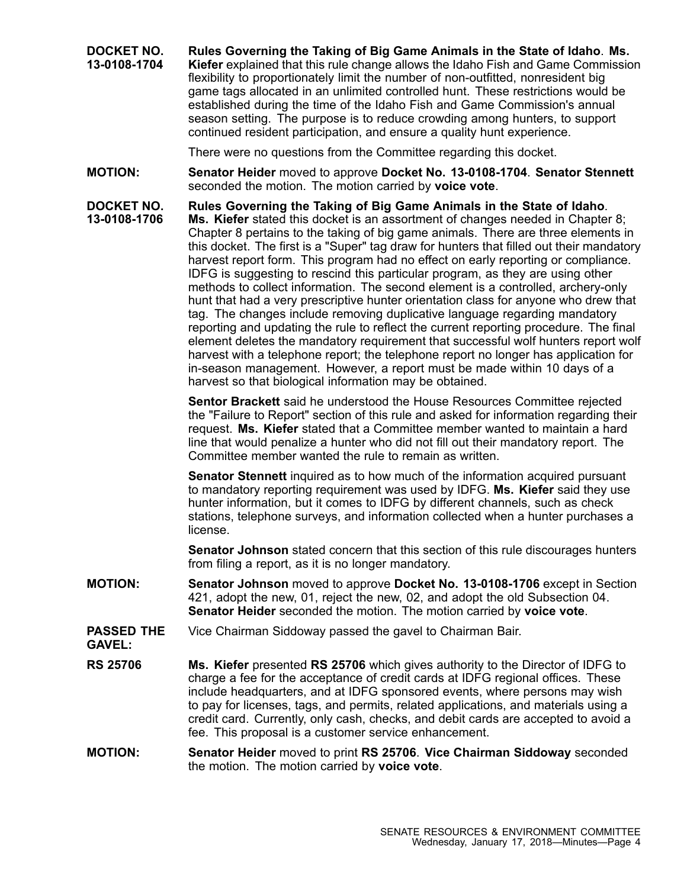**DOCKET NO. 13-0108-1704 Rules Governing the Taking of Big Game Animals in the State of Idaho**. **Ms. Kiefer** explained that this rule change allows the Idaho Fish and Game Commission flexibility to proportionately limit the number of non-outfitted, nonresident big game tags allocated in an unlimited controlled hunt. These restrictions would be established during the time of the Idaho Fish and Game Commission's annual season setting. The purpose is to reduce crowding among hunters, to support continued resident participation, and ensure <sup>a</sup> quality hunt experience.

There were no questions from the Committee regarding this docket.

**MOTION: Senator Heider** moved to approve **Docket No. 13-0108-1704**. **Senator Stennett** seconded the motion. The motion carried by **voice vote**.

**DOCKET NO. 13-0108-1706 Rules Governing the Taking of Big Game Animals in the State of Idaho**. **Ms. Kiefer** stated this docket is an assortment of changes needed in Chapter 8; Chapter 8 pertains to the taking of big game animals. There are three elements in this docket. The first is <sup>a</sup> "Super" tag draw for hunters that filled out their mandatory harvest report form. This program had no effect on early reporting or compliance. IDFG is suggesting to rescind this particular program, as they are using other methods to collect information. The second element is <sup>a</sup> controlled, archery-only hunt that had <sup>a</sup> very prescriptive hunter orientation class for anyone who drew that tag. The changes include removing duplicative language regarding mandatory reporting and updating the rule to reflect the current reporting procedure. The final element deletes the mandatory requirement that successful wolf hunters report wolf harvest with <sup>a</sup> telephone report; the telephone report no longer has application for in-season management. However, <sup>a</sup> report must be made within 10 days of <sup>a</sup> harvest so that biological information may be obtained.

> **Sentor Brackett** said he understood the House Resources Committee rejected the "Failure to Report" section of this rule and asked for information regarding their request. **Ms. Kiefer** stated that <sup>a</sup> Committee member wanted to maintain <sup>a</sup> hard line that would penalize <sup>a</sup> hunter who did not fill out their mandatory report. The Committee member wanted the rule to remain as written.

> **Senator Stennett** inquired as to how much of the information acquired pursuant to mandatory reporting requirement was used by IDFG. **Ms. Kiefer** said they use hunter information, but it comes to IDFG by different channels, such as check stations, telephone surveys, and information collected when <sup>a</sup> hunter purchases <sup>a</sup> license.

> **Senator Johnson** stated concern that this section of this rule discourages hunters from filing <sup>a</sup> report, as it is no longer mandatory.

- **MOTION: Senator Johnson** moved to approve **Docket No. 13-0108-1706** except in Section 421, adopt the new, 01, reject the new, 02, and adopt the old Subsection 04. **Senator Heider** seconded the motion. The motion carried by **voice vote**.
- **PASSED THE** Vice Chairman Siddoway passed the gavel to Chairman Bair.

**GAVEL:**

- **RS 25706 Ms. Kiefer** presented **RS 25706** which gives authority to the Director of IDFG to charge <sup>a</sup> fee for the acceptance of credit cards at IDFG regional offices. These include headquarters, and at IDFG sponsored events, where persons may wish to pay for licenses, tags, and permits, related applications, and materials using <sup>a</sup> credit card. Currently, only cash, checks, and debit cards are accepted to avoid <sup>a</sup> fee. This proposal is <sup>a</sup> customer service enhancement.
- **MOTION: Senator Heider** moved to print **RS 25706**. **Vice Chairman Siddoway** seconded the motion. The motion carried by **voice vote**.